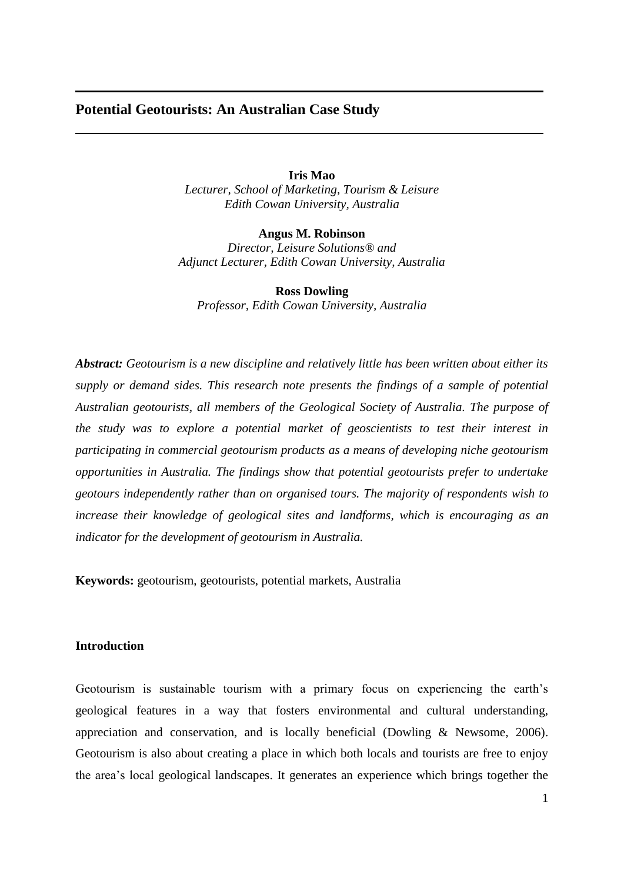# **Potential Geotourists: An Australian Case Study**

**Iris Mao** *Lecturer, School of Marketing, Tourism & Leisure Edith Cowan University, Australia*

**Angus M. Robinson** *Director, Leisure Solutions® and Adjunct Lecturer, Edith Cowan University, Australia*

**Ross Dowling** *Professor, Edith Cowan University, Australia*

*Abstract: Geotourism is a new discipline and relatively little has been written about either its supply or demand sides. This research note presents the findings of a sample of potential Australian geotourists, all members of the Geological Society of Australia. The purpose of the study was to explore a potential market of geoscientists to test their interest in participating in commercial geotourism products as a means of developing niche geotourism opportunities in Australia. The findings show that potential geotourists prefer to undertake geotours independently rather than on organised tours. The majority of respondents wish to increase their knowledge of geological sites and landforms, which is encouraging as an indicator for the development of geotourism in Australia.*

**Keywords:** geotourism, geotourists, potential markets, Australia

### **Introduction**

Geotourism is sustainable tourism with a primary focus on experiencing the earth's geological features in a way that fosters environmental and cultural understanding, appreciation and conservation, and is locally beneficial (Dowling & Newsome, 2006). Geotourism is also about creating a place in which both locals and tourists are free to enjoy the area's local geological landscapes. It generates an experience which brings together the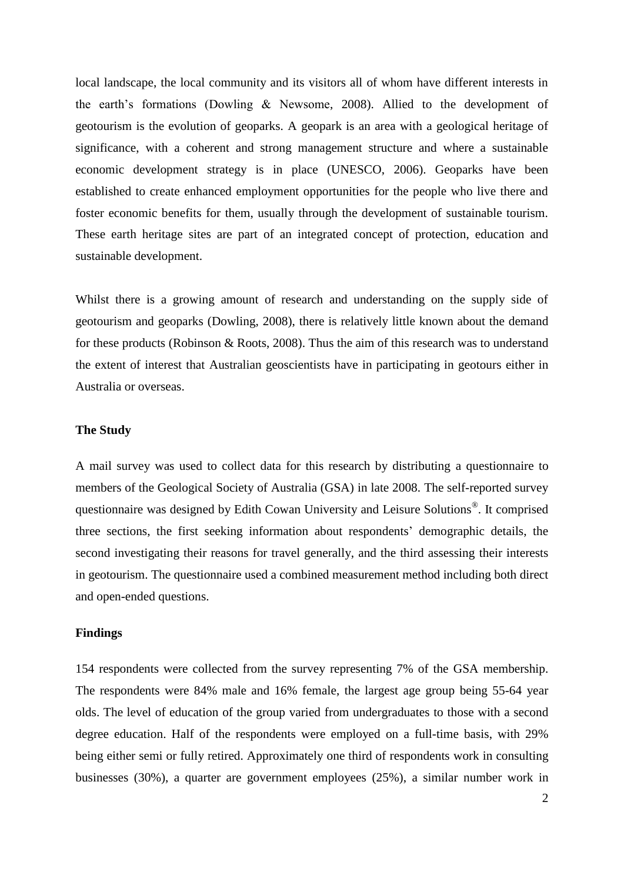local landscape, the local community and its visitors all of whom have different interests in the earth's formations (Dowling & Newsome, 2008). Allied to the development of geotourism is the evolution of geoparks. A geopark is an area with a geological heritage of significance, with a coherent and strong management structure and where a sustainable economic development strategy is in place (UNESCO, 2006). Geoparks have been established to create enhanced employment opportunities for the people who live there and foster economic benefits for them, usually through the development of sustainable tourism. These earth heritage sites are part of an integrated concept of protection, education and sustainable development.

Whilst there is a growing amount of research and understanding on the supply side of geotourism and geoparks (Dowling, 2008), there is relatively little known about the demand for these products (Robinson & Roots, 2008). Thus the aim of this research was to understand the extent of interest that Australian geoscientists have in participating in geotours either in Australia or overseas.

# **The Study**

A mail survey was used to collect data for this research by distributing a questionnaire to members of the Geological Society of Australia (GSA) in late 2008. The self-reported survey questionnaire was designed by Edith Cowan University and Leisure Solutions® . It comprised three sections, the first seeking information about respondents' demographic details, the second investigating their reasons for travel generally, and the third assessing their interests in geotourism. The questionnaire used a combined measurement method including both direct and open-ended questions.

### **Findings**

154 respondents were collected from the survey representing 7% of the GSA membership. The respondents were 84% male and 16% female, the largest age group being 55-64 year olds. The level of education of the group varied from undergraduates to those with a second degree education. Half of the respondents were employed on a full-time basis, with 29% being either semi or fully retired. Approximately one third of respondents work in consulting businesses (30%), a quarter are government employees (25%), a similar number work in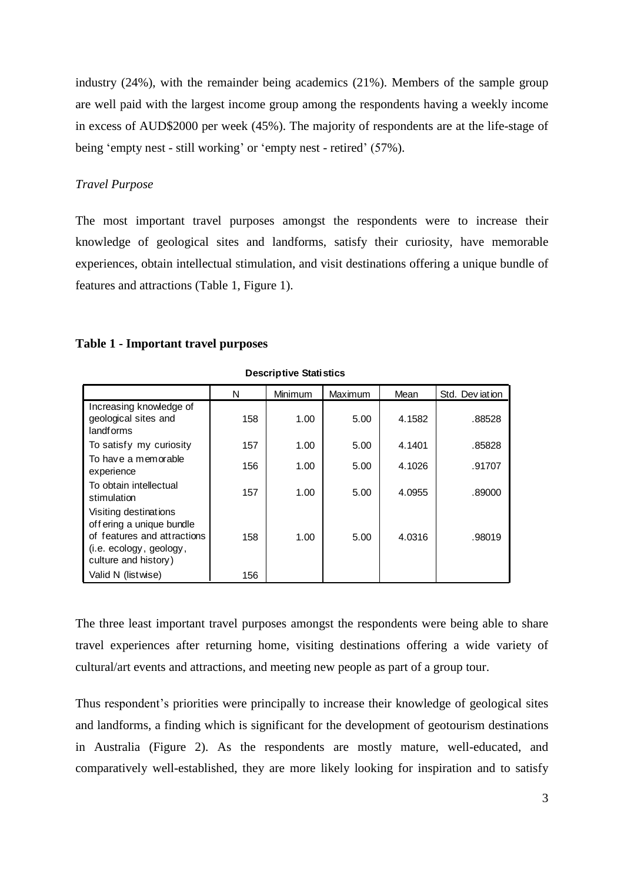industry (24%), with the remainder being academics (21%). Members of the sample group are well paid with the largest income group among the respondents having a weekly income in excess of AUD\$2000 per week (45%). The majority of respondents are at the life-stage of being 'empty nest - still working' or 'empty nest - retired' (57%).

### *Travel Purpose*

The most important travel purposes amongst the respondents were to increase their knowledge of geological sites and landforms, satisfy their curiosity, have memorable experiences, obtain intellectual stimulation, and visit destinations offering a unique bundle of features and attractions (Table 1, Figure 1).

#### **Table 1 - Important travel purposes**

| <b>Descriptive Statistics</b>                                                                                                        |     |         |         |        |                 |  |  |  |  |
|--------------------------------------------------------------------------------------------------------------------------------------|-----|---------|---------|--------|-----------------|--|--|--|--|
|                                                                                                                                      | N   | Minimum | Maximum | Mean   | Std. Dev jation |  |  |  |  |
| Increasing knowledge of<br>geological sites and<br>landforms                                                                         | 158 | 1.00    | 5.00    | 4.1582 | .88528          |  |  |  |  |
| To satisfy my curiosity                                                                                                              | 157 | 1.00    | 5.00    | 4.1401 | .85828          |  |  |  |  |
| To have a memorable<br>experience                                                                                                    | 156 | 1.00    | 5.00    | 4.1026 | .91707          |  |  |  |  |
| To obtain intellectual<br>stimulation                                                                                                | 157 | 1.00    | 5.00    | 4.0955 | .89000          |  |  |  |  |
| Visiting destinations<br>off ering a unique bundle<br>of features and attractions<br>(i.e. ecology, geology,<br>culture and history) | 158 | 1.00    | 5.00    | 4.0316 | .98019          |  |  |  |  |
| Valid N (listwise)                                                                                                                   | 156 |         |         |        |                 |  |  |  |  |

The three least important travel purposes amongst the respondents were being able to share travel experiences after returning home, visiting destinations offering a wide variety of cultural/art events and attractions, and meeting new people as part of a group tour.

Thus respondent's priorities were principally to increase their knowledge of geological sites and landforms, a finding which is significant for the development of geotourism destinations in Australia (Figure 2). As the respondents are mostly mature, well-educated, and comparatively well-established, they are more likely looking for inspiration and to satisfy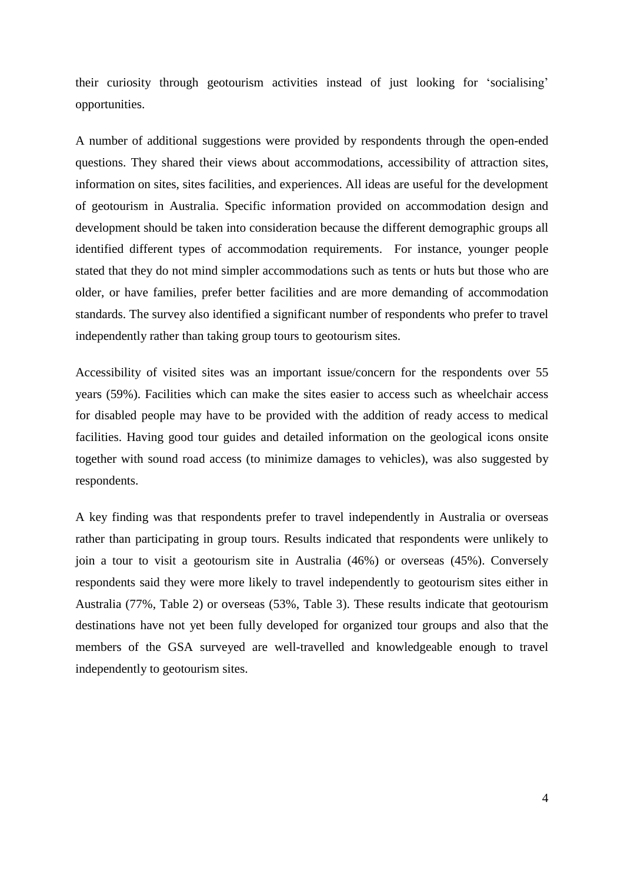their curiosity through geotourism activities instead of just looking for 'socialising' opportunities.

A number of additional suggestions were provided by respondents through the open-ended questions. They shared their views about accommodations, accessibility of attraction sites, information on sites, sites facilities, and experiences. All ideas are useful for the development of geotourism in Australia. Specific information provided on accommodation design and development should be taken into consideration because the different demographic groups all identified different types of accommodation requirements. For instance, younger people stated that they do not mind simpler accommodations such as tents or huts but those who are older, or have families, prefer better facilities and are more demanding of accommodation standards. The survey also identified a significant number of respondents who prefer to travel independently rather than taking group tours to geotourism sites.

Accessibility of visited sites was an important issue/concern for the respondents over 55 years (59%). Facilities which can make the sites easier to access such as wheelchair access for disabled people may have to be provided with the addition of ready access to medical facilities. Having good tour guides and detailed information on the geological icons onsite together with sound road access (to minimize damages to vehicles), was also suggested by respondents.

A key finding was that respondents prefer to travel independently in Australia or overseas rather than participating in group tours. Results indicated that respondents were unlikely to join a tour to visit a geotourism site in Australia (46%) or overseas (45%). Conversely respondents said they were more likely to travel independently to geotourism sites either in Australia (77%, Table 2) or overseas (53%, Table 3). These results indicate that geotourism destinations have not yet been fully developed for organized tour groups and also that the members of the GSA surveyed are well-travelled and knowledgeable enough to travel independently to geotourism sites.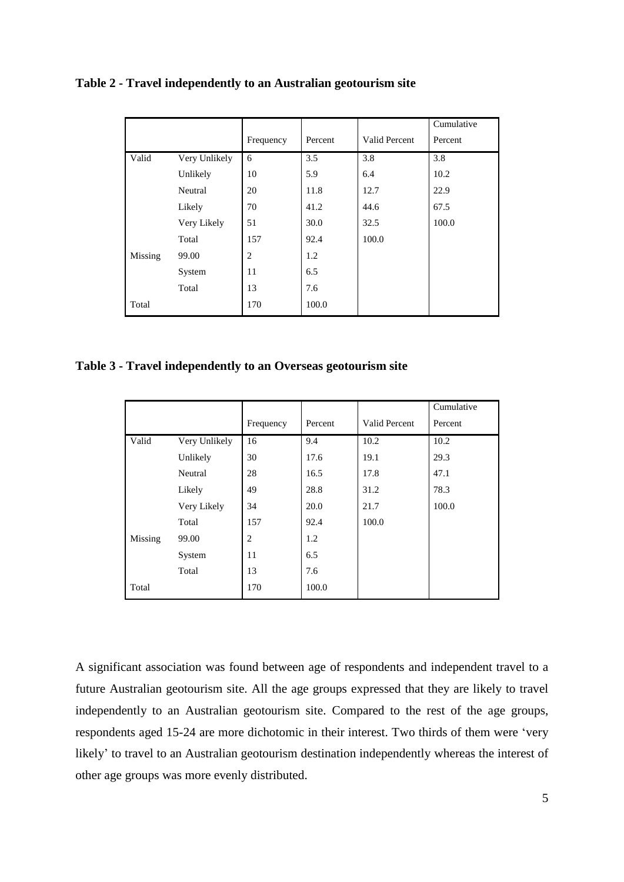|         |               |                |         |               | Cumulative |
|---------|---------------|----------------|---------|---------------|------------|
|         |               | Frequency      | Percent | Valid Percent | Percent    |
| Valid   | Very Unlikely | 6              | 3.5     | 3.8           | 3.8        |
|         | Unlikely      | 10             | 5.9     | 6.4           | 10.2       |
|         | Neutral       | 20             | 11.8    | 12.7          | 22.9       |
|         | Likely        | 70             | 41.2    | 44.6          | 67.5       |
|         | Very Likely   | 51             | 30.0    | 32.5          | 100.0      |
|         | Total         | 157            | 92.4    | 100.0         |            |
| Missing | 99.00         | $\overline{c}$ | 1.2     |               |            |
|         | System        | 11             | 6.5     |               |            |
|         | Total         | 13             | 7.6     |               |            |
| Total   |               | 170            | 100.0   |               |            |

# **Table 2 - Travel independently to an Australian geotourism site**

**Table 3 - Travel independently to an Overseas geotourism site**

|         |               |           |         |               | Cumulative |
|---------|---------------|-----------|---------|---------------|------------|
|         |               | Frequency | Percent | Valid Percent | Percent    |
| Valid   | Very Unlikely | 16        | 9.4     | 10.2          | 10.2       |
|         | Unlikely      | 30        | 17.6    | 19.1          | 29.3       |
|         | Neutral       | 28        | 16.5    | 17.8          | 47.1       |
|         | Likely        | 49        | 28.8    | 31.2          | 78.3       |
|         | Very Likely   | 34        | 20.0    | 21.7          | 100.0      |
|         | Total         | 157       | 92.4    | 100.0         |            |
| Missing | 99.00         | 2         | 1.2     |               |            |
|         | System        | 11        | 6.5     |               |            |
|         | Total         | 13        | 7.6     |               |            |
| Total   |               | 170       | 100.0   |               |            |

A significant association was found between age of respondents and independent travel to a future Australian geotourism site. All the age groups expressed that they are likely to travel independently to an Australian geotourism site. Compared to the rest of the age groups, respondents aged 15-24 are more dichotomic in their interest. Two thirds of them were 'very likely' to travel to an Australian geotourism destination independently whereas the interest of other age groups was more evenly distributed.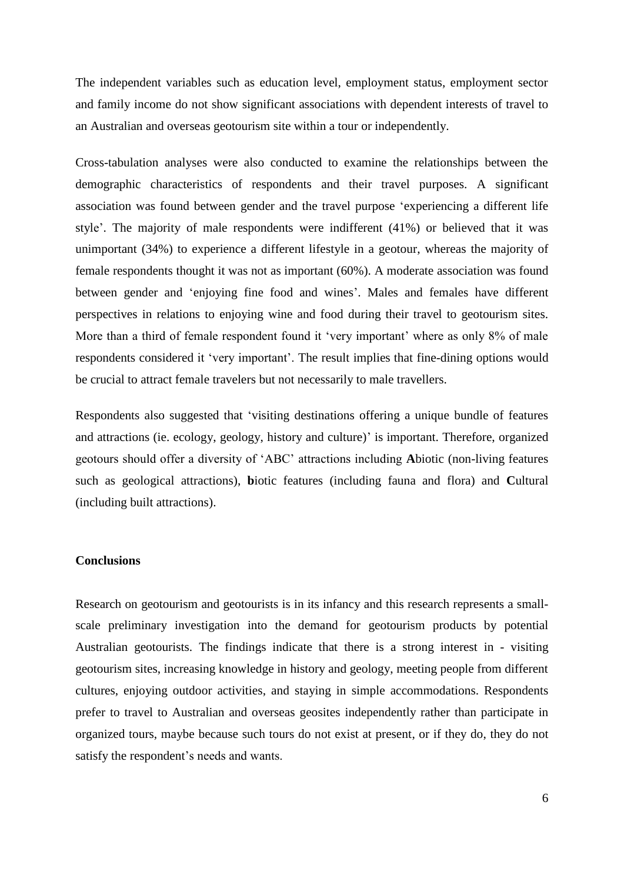The independent variables such as education level, employment status, employment sector and family income do not show significant associations with dependent interests of travel to an Australian and overseas geotourism site within a tour or independently.

Cross-tabulation analyses were also conducted to examine the relationships between the demographic characteristics of respondents and their travel purposes. A significant association was found between gender and the travel purpose 'experiencing a different life style'. The majority of male respondents were indifferent (41%) or believed that it was unimportant (34%) to experience a different lifestyle in a geotour, whereas the majority of female respondents thought it was not as important (60%). A moderate association was found between gender and 'enjoying fine food and wines'. Males and females have different perspectives in relations to enjoying wine and food during their travel to geotourism sites. More than a third of female respondent found it 'very important' where as only 8% of male respondents considered it 'very important'. The result implies that fine-dining options would be crucial to attract female travelers but not necessarily to male travellers.

Respondents also suggested that 'visiting destinations offering a unique bundle of features and attractions (ie. ecology, geology, history and culture)' is important. Therefore, organized geotours should offer a diversity of 'ABC' attractions including **A**biotic (non-living features such as geological attractions), **b**iotic features (including fauna and flora) and **C**ultural (including built attractions).

# **Conclusions**

Research on geotourism and geotourists is in its infancy and this research represents a smallscale preliminary investigation into the demand for geotourism products by potential Australian geotourists. The findings indicate that there is a strong interest in - visiting geotourism sites, increasing knowledge in history and geology, meeting people from different cultures, enjoying outdoor activities, and staying in simple accommodations. Respondents prefer to travel to Australian and overseas geosites independently rather than participate in organized tours, maybe because such tours do not exist at present, or if they do, they do not satisfy the respondent's needs and wants.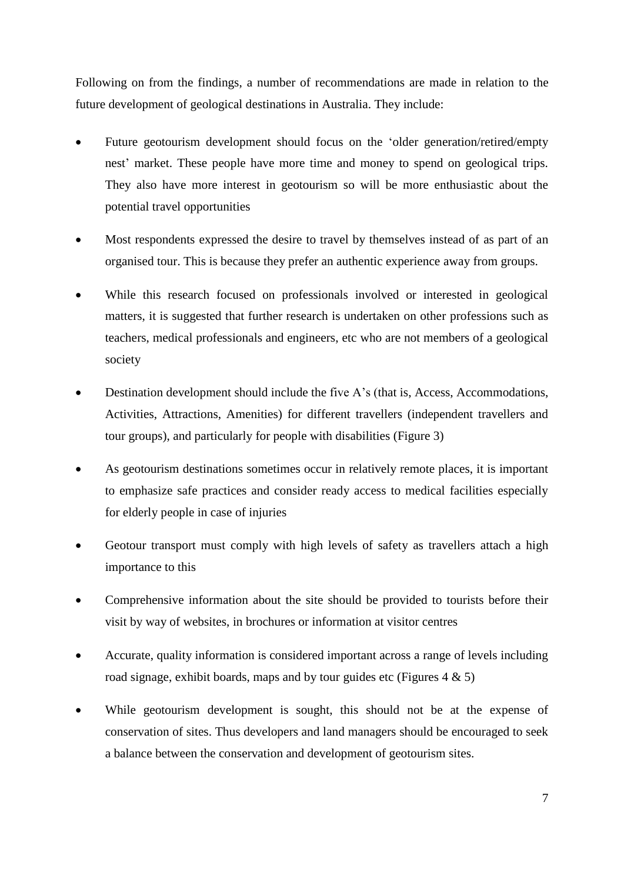Following on from the findings, a number of recommendations are made in relation to the future development of geological destinations in Australia. They include:

- Future geotourism development should focus on the 'older generation/retired/empty nest' market. These people have more time and money to spend on geological trips. They also have more interest in geotourism so will be more enthusiastic about the potential travel opportunities
- Most respondents expressed the desire to travel by themselves instead of as part of an organised tour. This is because they prefer an authentic experience away from groups.
- While this research focused on professionals involved or interested in geological matters, it is suggested that further research is undertaken on other professions such as teachers, medical professionals and engineers, etc who are not members of a geological society
- Destination development should include the five A's (that is, Access, Accommodations, Activities, Attractions, Amenities) for different travellers (independent travellers and tour groups), and particularly for people with disabilities (Figure 3)
- As geotourism destinations sometimes occur in relatively remote places, it is important to emphasize safe practices and consider ready access to medical facilities especially for elderly people in case of injuries
- Geotour transport must comply with high levels of safety as travellers attach a high importance to this
- Comprehensive information about the site should be provided to tourists before their visit by way of websites, in brochures or information at visitor centres
- Accurate, quality information is considered important across a range of levels including road signage, exhibit boards, maps and by tour guides etc (Figures  $4 \& 5$ )
- While geotourism development is sought, this should not be at the expense of conservation of sites. Thus developers and land managers should be encouraged to seek a balance between the conservation and development of geotourism sites.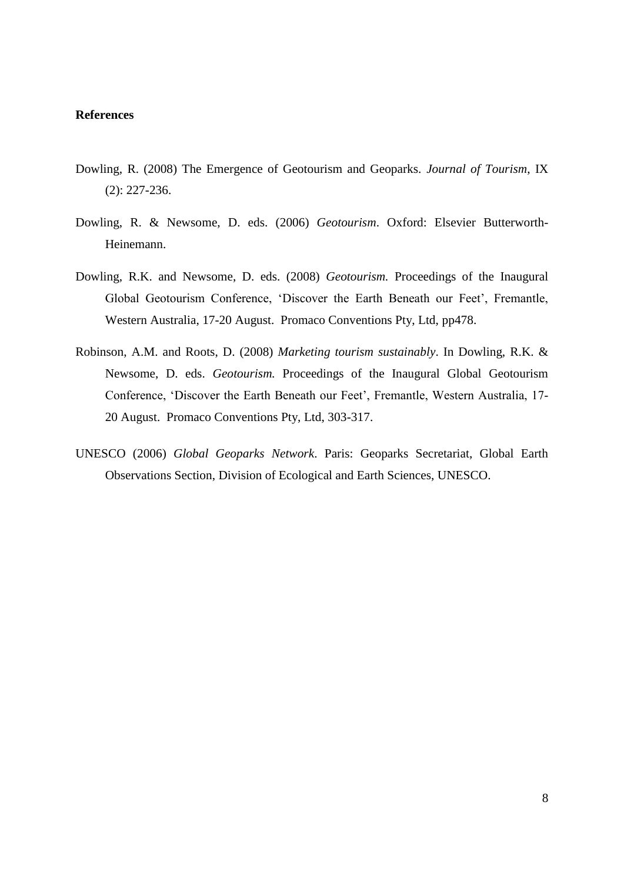#### **References**

- Dowling, R. (2008) The Emergence of Geotourism and Geoparks. *Journal of Tourism*, IX (2): 227-236.
- Dowling, R. & Newsome, D. eds. (2006) *Geotourism*. Oxford: Elsevier Butterworth-Heinemann.
- Dowling, R.K. and Newsome, D. eds. (2008) *Geotourism.* Proceedings of the Inaugural Global Geotourism Conference, 'Discover the Earth Beneath our Feet', Fremantle, Western Australia, 17-20 August. Promaco Conventions Pty, Ltd, pp478.
- Robinson, A.M. and Roots, D. (2008) *Marketing tourism sustainably*. In Dowling, R.K. & Newsome, D. eds. *Geotourism.* Proceedings of the Inaugural Global Geotourism Conference, 'Discover the Earth Beneath our Feet', Fremantle, Western Australia, 17- 20 August. Promaco Conventions Pty, Ltd, 303-317.
- UNESCO (2006) *Global Geoparks Network*. Paris: Geoparks Secretariat, Global Earth Observations Section, Division of Ecological and Earth Sciences, UNESCO.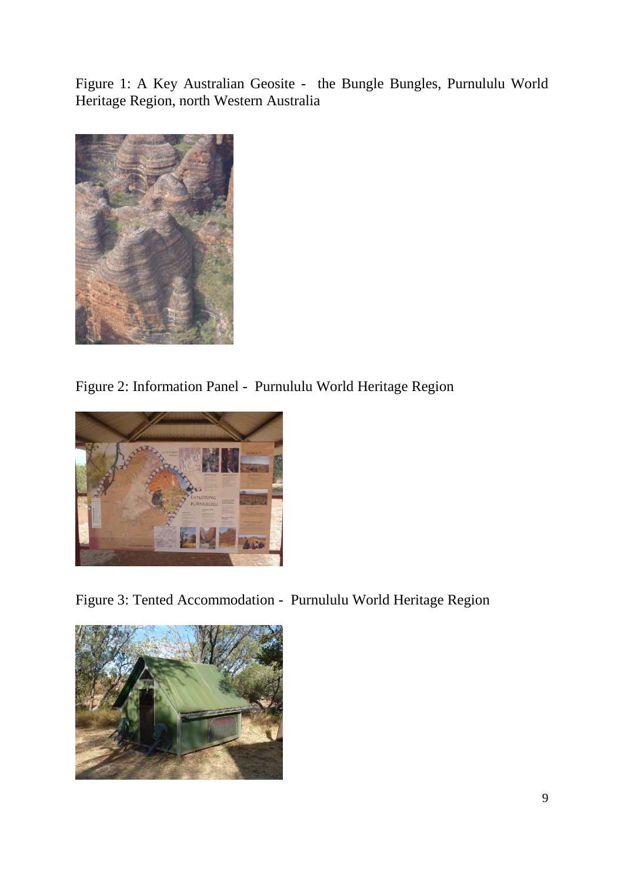Figure 1: A Key Australian Geosite - the Bungle Bungles, Purnululu World Heritage Region, north Western Australia



Figure 2: Information Panel - Purnululu World Heritage Region



Figure 3: Tented Accommodation - Purnululu World Heritage Region